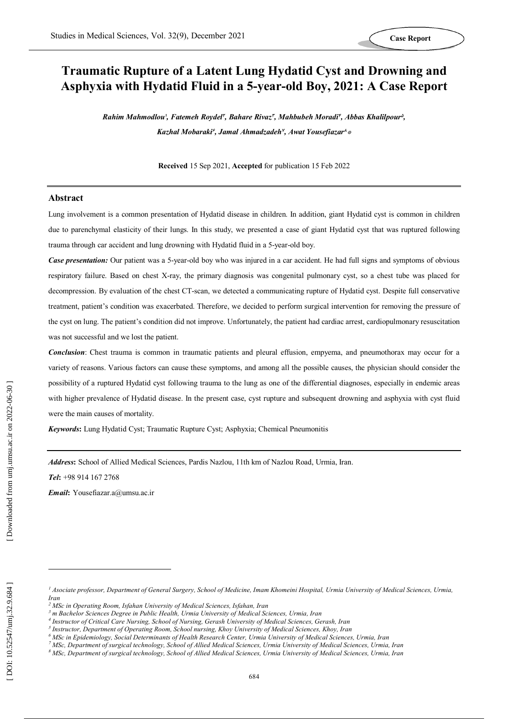# **Traumatic Rupture of a Latent Lung Hydatid Cyst and Drowning and Asphyxia with Hydatid Fluid in a 5 -year -old Boy, 2021: A Case Report**

*Rahim Mahmodlou 1 , Fatemeh Roydel<sup>2</sup> , Bahare Rivaz3, Mahbubeh Moradi<sup>4</sup> , Abbas Khalilpour<sup>5</sup> ,*  Kazhal Mobaraki<sup>s</sup>, Jamal Ahmadzadeh<sup>y</sup>, Awat Yousefiazar<sup>^</sup>\*

**Received** 1 5 Sep 2021, **Accepted** for publication 1 5 Feb 2022

#### **Abstract**

Lung involvement is a common presentation of Hydatid disease in children. In addition, giant Hydatid cyst is common in children due to parenchymal elasticity of their lungs. In this study, we presented a case of giant Hydatid cyst that was ruptured following trauma through car accident and lung drowning with Hydatid fluid in a 5 -year -old boy.

**Case presentation:** Our patient was a 5-year-old boy who was injured in a car accident. He had full signs and symptoms of obvious respiratory failure. Based on chest X -ray, the primary diagnosis was congenital pulmonary cyst, so a chest tube was placed for decompression. By evaluation of the chest CT -scan, we detected a communicating rupture of Hydatid cyst. Despite full conservative treatment, patient's condition was exacerbated. Therefore, we decided to perform surgical intervention for removing the pressure of the cyst on lung. The patient's condition did not improve. Unfortunately, the patient had cardiac arrest, cardiopulmonary resuscitation was not successful and we lost the patient.

*Conclusion*: Chest trauma is common in traumatic patients and pleural effusion, empyema, and pneumothorax may occur for a variety of reasons. Various factors can cause these symptoms, and among all the possible causes, the physician should consider the possibility of a ruptured Hydatid cyst following trauma to the lung as one of the differential diagnoses, especially in endemic areas with higher prevalence of Hydatid disease. In the present case, cyst rupture and subsequent drowning and asphyxia with cyst fluid were the main causes of mortality.

*Keywords***:** Lung Hydatid Cyst; Traumatic Rupture Cyst; Asphyxia; Chemical Pneumonitis

*Address* **:** School of Allied Medical Sciences, Pardis Nazlou, 11th km of Nazlou Road, Urmia, Iran.

*Tel* **:** +98 914 167 2768

*Email* **:** Yousefiazar.a@umsu.ac.ir

 $\overline{a}$ 

*<sup>1</sup> Asociate professor, Department of General Surgery, School of Medicine, Imam Khomeini Hospital, Urmia University of Medical Sciences, Urmia, Iran*

*<sup>2</sup> MSc in Operating Room, Isfahan University of Medical Sciences, Isfahan, Iran*

*<sup>3</sup> m Bachelor Sciences Degree in Public Health, Urmia University of Medical Sciences, Urmia, Iran*

*<sup>4</sup> Instructor of Critical Care Nursing, School of Nursing, Gerash University of Medical Sciences, Gerash, Iran*

*<sup>5</sup> Instructor, Department of Operating Room, School nursing, Khoy University of Medical Sciences, Khoy, Iran*

*<sup>6</sup> MSc in Epidemiology, Social Determinants of Health Research Center, Urmia University of Medical Sciences, Urmia, Iran*

*<sup>7</sup> MSc, Department of surgical technology, School of Allied Medical Sciences, Urmia University of Medical Sciences, Urmia, Iran*

*<sup>8</sup> MSc, Department of surgical technology, School of Allied Medical Sciences, Urmia University of Medical Sciences, Urmia, Iran*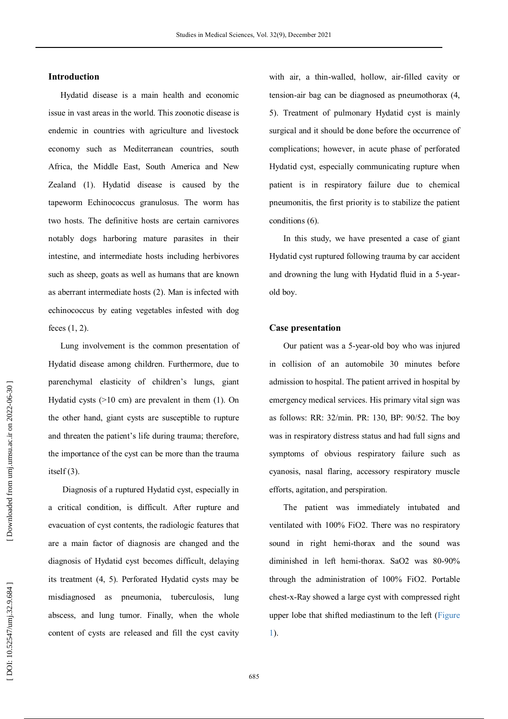#### **Introduction**

Hydatid disease is a main health and economic issue in vast areas in the world. This zoonotic disease is endemic in countries with agriculture and livestock economy such as Mediterranean countries, south Africa, the Middle East, South America and New Zealand ( 1 ). Hydatid disease is caused by the tapeworm Echinococcus granulosus. The worm has two hosts. The definitive hosts are certain carnivores notably dogs harboring mature parasites in their intestine, and intermediate hosts including herbivores such as sheep, goats as well as humans that are known as aberrant intermediate hosts ( 2 ). Man is infected with echinococcus by eating vegetables infested with dog feces (1, 2).

Lung involvement is the common presentation of Hydatid disease among children. Furthermore, due to parenchymal elasticity of children's lungs, giant Hydatid cysts (>10 cm) are prevalent in them ( 1 ). On the other hand, giant cysts are susceptible to rupture and threaten the patient's life during trauma; therefore, the importance of the cyst can be more than the trauma itself $(3)$ .

Diagnosis of a ruptured Hydatid cyst, especially in a critical condition, is difficult. After rupture and evacuation of cyst contents, the radiologic features that are a main factor of diagnosis are changed and the diagnosis of Hydatid cyst becomes difficult, delaying its treatment ( 4, 5 ). Perforated Hydatid cysts may be misdiagnosed as pneumonia, tuberculosis, lung abscess, and lung tumor. Finally, when the whole content of cysts are released and fill the cyst cavity

with air, a thin -walled, hollow, air -filled cavity or tension -air bag can be diagnosed as pneumothorax ( 4, 5 ). Treatment of pulmonary Hydatid cyst is mainly surgical and it should be done before the occurrence of complications; however, in acute phase of perforated Hydatid cyst, especially communicating rupture when patient is in respiratory failure due to chemical pneumonitis, the first priority is to stabilize the patient conditions ( 6 ) .

In this study, we have presented a case of giant Hydatid cyst ruptured following trauma by car accident and drowning the lung with Hydatid fluid in a 5 -year old boy.

#### **Case presentation**

Our patient was a 5 -year -old boy who was injured in collision of an automobile 30 minutes before admission to hospital. The patient arrived in hospital by emergency medical services. His primary vital sign was as follows: RR: 32/min. PR: 130, BP: 90/52. The boy was in respiratory distress status and had full signs and symptoms of obvious respiratory failure such as cyanosis, nasal flaring, accessory respiratory muscle efforts, agitation, and perspiration.

The patient was immediately intubated and ventilated with 100% FiO2. There was no respiratory sound in right hemi -thorax and the sound was diminished in left hemi -thorax. SaO2 was 80 -90% through the administration of 100% FiO2. Portable chest - x -Ray showed a large cyst with compressed right upper lobe that shifted mediastinum to the left (Figure 1).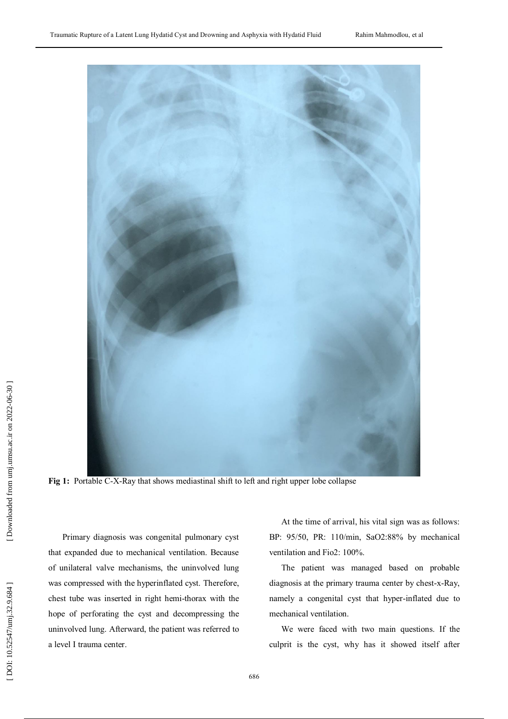

**Fig 1:** Portable C-X-Ray that shows mediastinal shift to left and right upper lobe collapse

Primary diagnosis was congenital pulmonary cyst that expanded due to mechanical ventilation. Because of unilateral valve mechanisms, the uninvolved lung was compressed with the hyperinflated cyst. Therefore, chest tube was inserted in right hemi -thorax with the hope of perforating the cyst and decompressing the uninvolved lung. Afterward, the patient was referred to a level I trauma center.

At the time of arrival, his vital sign was as follows: BP: 95/50, PR: 110/min, SaO2:88% by mechanical ventilation and Fio2: 100%.

The patient was managed based on probable diagnosis at the primary trauma center by chest - x -Ray, namely a congenital cyst that hyper -inflated due to mechanical ventilation.

We were faced with two main questions. If the culprit is the cyst, why has it showed itself after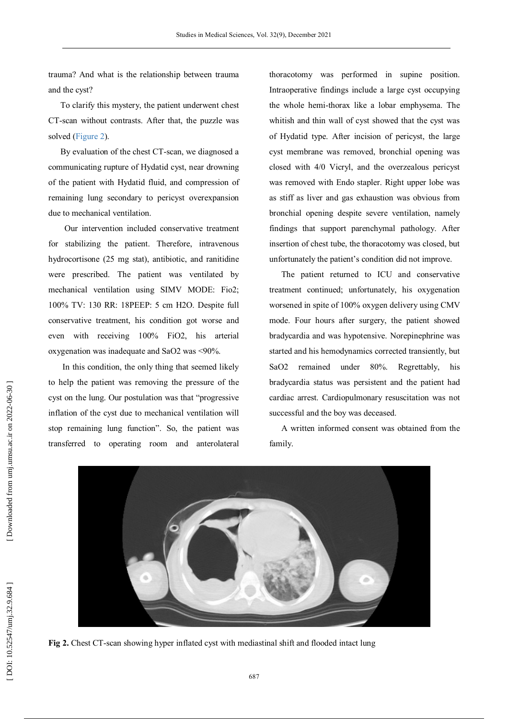trauma? And what is the relationship between trauma and the cyst?

To clarify this mystery, the patient underwent chest CT -scan without contrasts. After that, the puzzle was solved (Figure 2).

By evaluation of the chest CT -scan, we diagnosed a communicating rupture of Hydatid cyst, near drowning of the patient with Hydatid fluid, and compression of remaining lung secondary to pericyst overexpansion due to mechanical ventilation.

 Our intervention included conservative treatment for stabilizing the patient. Therefore, intravenous hydrocortisone (25 mg stat), antibiotic, and ranitidine were prescribed. The patient was ventilated by mechanical ventilation using SIMV MODE: Fio2; 100% TV: 130 RR: 18PEEP: 5 cm H2O. Despite full conservative treatment, his condition got worse and even with receiving 100% FiO2, his arterial oxygenation was inadequate and SaO2 was <90%.

In this condition, the only thing that seemed likely to help the patient was removing the pressure of the cyst on the lung. Our postulation was that "progressive inflation of the cyst due to mechanical ventilation will stop remaining lung function". So, the patient was transferred to operating room and anterolateral

thoracotomy was performed in supine position. Intraoperative findings include a large cyst occupying the whole hemi -thorax like a lobar emphysema. The whitish and thin wall of cyst showed that the cyst was of Hydatid type. After incision of pericyst, the large cyst membrane was removed, bronchial opening was closed with 4/0 Vicryl, and the overzealous pericyst was removed with Endo stapler. Right upper lobe was as stiff as liver and gas exhaustion was obvious from bronchial opening despite severe ventilation, namely findings that support parenchymal pathology. After insertion of chest tube, the thoracotomy was closed, but unfortunately the patient's condition did not improve.

The patient returned to ICU and conservative treatment continued; unfortunately, his oxygenation worsened in spite of 100% oxygen delivery using CMV mode. Four hours after surgery, the patient showed bradycardia and was hypotensive. Norepinephrine was started and his hemodynamics corrected transiently, but SaO2 remained under 80%. Regrettably, his bradycardia status was persistent and the patient had cardiac arrest. Cardiopulmonary resuscitation was not successful and the boy was deceased.

A written informed consent was obtained from the family.



**Fig 2.** Chest CT-scan showing hyper inflated cyst with mediastinal shift and flooded intact lung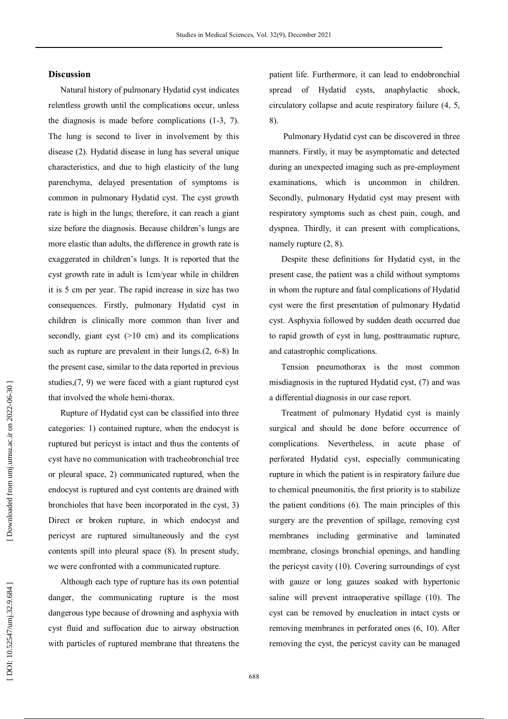#### **Discussion**

Natural history of pulmonary Hydatid cyst indicates relentless growth until the complications occur, unless the diagnosis is made before complications ( 1 - 3, 7 ). The lung is second to liver in involvement by this disease ( 2 ). Hydatid disease in lung has several unique characteristics, and due to high elasticity of the lung parenchyma, delayed presentation of symptoms is common in pulmonary Hydatid cyst. The cyst growth rate is high in the lungs; therefore, it can reach a giant size before the diagnosis. Because children's lungs are more elastic than adults, the difference in growth rate is exaggerated in children's lungs. It is reported that the cyst growth rate in adult is 1cm/year while in children it is 5 cm per year. The rapid increase in size has two consequences. Firstly, pulmonary Hydatid cyst in children is clinically more common than liver and secondly, giant cyst  $(>10$  cm) and its complications such as rupture are prevalent in their  $lungs. (2, 6-8)$  In the present case, similar to the data reported in previous studies, ( 7, 9 ) we were faced with a giant ruptured cyst that involved the whole hemi -thorax.

Rupture of Hydatid cyst can be classified into three categories: 1) contained rupture, when the endocyst is ruptured but pericyst is intact and thus the contents of cyst have no communication with tracheobronchial tree or pleural space, 2) communicated ruptured, when the endocyst is ruptured and cyst contents are drained with bronchioles that have been incorporated in the cyst, 3) Direct or broken rupture, in which endocyst and pericyst are ruptured simultaneously and the cyst contents spill into pleural space ( 8 ). In present study, we were confronted with a communicated rupture.

Although each type of rupture has its own potential danger, the communicating rupture is the most dangerous type because of drowning and asphyxia with cyst fluid and suffocation due to airway obstruction with particles of ruptured membrane that threatens the patient life. Furthermore, it can lead to endobronchial spread of Hydatid cysts, anaphylactic shock, circulatory collapse and acute respiratory failure ( 4, 5, 8 ) .

Pulmonary Hydatid cyst can be discovered in three manners. Firstly, it may be asymptomatic and detected during an unexpected imaging such as pre -employment examinations, which is uncommon in children. Secondly, pulmonary Hydatid cyst may present with respiratory symptoms such as chest pain, cough, and dyspnea. Thirdly, it can present with complications, namely rupture  $(2, 8)$ .

Despite these definitions for Hydatid cyst, in the present case, the patient was a child without symptoms in whom the rupture and fatal complications of Hydatid cyst were the first presentation of pulmonary Hydatid cyst . Asphyxia followed by sudden death occurred due to rapid growth of cyst in lung, posttraumatic rupture, and catastrophic complications.

Tension pneumothorax is the most common misdiagnosis in the ruptured Hydatid cyst, ( 7 ) and was a differential diagnosis in our case report.

Treatment of pulmonary Hydatid cyst is mainly surgical and should be done before occurrence of complications. Nevertheless, in acute phase of perforated Hydatid cyst, especially communicating rupture in which the patient is in respiratory failure due to chemical pneumonitis, the first priority is to stabilize the patient conditions ( 6 ). The main principles of this surgery are the prevention of spillage, removing cyst membranes including germinative and laminated membrane, closings bronchial openings, and handling the pericyst cavity (10 ). Covering surroundings of cyst with gauze or long gauzes soaked with hypertonic saline will prevent intraoperative spillage (10 ). The cyst can be removed by enucleation in intact cysts or removing membranes in perforated ones ( 6, 10 ). After removing the cyst, the pericyst cavity can be managed

Downloaded from umj.umsu.ac.ir on 2022-06-30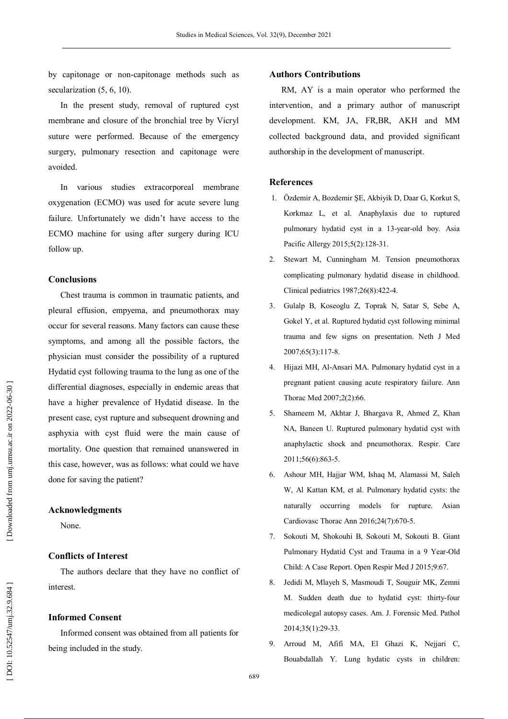by capitonage or non -capitonage methods such as secularization  $(5, 6, 10)$ .

In the present study, removal of ruptured cyst membrane and closure of the bronchial tree by Vicryl suture were performed. Because of the emergency surgery, pulmonary resection and capitonage were avoided.

In various studies extracorporeal membrane oxygenation (ECMO) was used for acute severe lung failure. Unfortunately we didn't have access to the ECMO machine for using after surgery during ICU follow up.

## **Conclusions**

Chest trauma is common in traumatic patients, and pleural effusion, empyema, and pneumothorax may occur for several reasons. Many factors can cause these symptoms, and among all the possible factors, the physician must consider the possibility of a ruptured Hydatid cyst following trauma to the lung as one of the differential diagnoses, especially in endemic areas that have a higher prevalence of Hydatid disease. In the present case, cyst rupture and subsequent drowning and asphyxia with cyst fluid were the main cause of mortality. One question that remained unanswered in this case, however, was as follows: what could we have done for saving the patient?

#### **Acknowledgments**

None.

### **Conflicts of Interest**

The authors declare that they have no conflict of interest.

## **Informed Consent**

Informed consent was obtained from all patients for being included in the study.

#### **Authors Contributions**

RM, AY is a main operator who performed the intervention, and a primary author of manuscript development. KM, JA, FR,BR, AKH and MM collected background data, and provided significant authorship in the development of manuscript.

### **References**

- 1. Özdemir A, Bozdemir ŞE, Akbiyik D, Daar G, Korkut S, Korkmaz L, et al. Anaphylaxis due to ruptured pulmonary hydatid cyst in a 13-year-old boy. Asia Pacific Allergy 2015;5(2):128 -31.
- 2. Stewart M, Cunningham M. Tension pneumothorax complicating pulmonary hydatid disease in childhood. Clinical pediatrics 1987;26(8):422 -4.
- 3. Gulalp B, Koseoglu Z, Toprak N, Satar S, Sebe A, Gokel Y, et al. Ruptured hydatid cyst following minimal trauma and few signs on presentation. Neth J Med 2007;65(3):117 -8.
- 4. Hijazi MH, Al -Ansari MA. Pulmonary hydatid cyst in a pregnant patient causing acute respiratory failure. Ann Thorac Med 2007;2(2):66.
- 5. Shameem M, Akhtar J, Bhargava R, Ahmed Z, Khan NA, Baneen U. Ruptured pulmonary hydatid cyst with anaphylactic shock and pneumothorax. Respir. Care 2011;56(6):863 -5.
- 6. Ashour MH, Hajjar WM, Ishaq M, Alamassi M, Saleh W, Al Kattan KM, et al. Pulmonary hydatid cysts: the naturally occurring models for rupture. Asian Cardiovasc Thorac Ann 2016;24(7):670 -5.
- 7. Sokouti M, Shokouhi B, Sokouti M, Sokouti B. Giant Pulmonary Hydatid Cyst and Trauma in a 9 Year -Old Child: A Case Report. Open Respir Med J 2015;9:67.
- 8. Jedidi M, Mlayeh S, Masmoudi T, Souguir MK, Zemni M. Sudden death due to hydatid cyst: thirty -four medicolegal autopsy cases. Am. J. Forensic Med. Pathol 2014;35(1):29 -33.
- 9. Arroud M, Afifi MA, El Ghazi K, Nejjari C, Bouabdallah Y. Lung hydatic cysts in children: